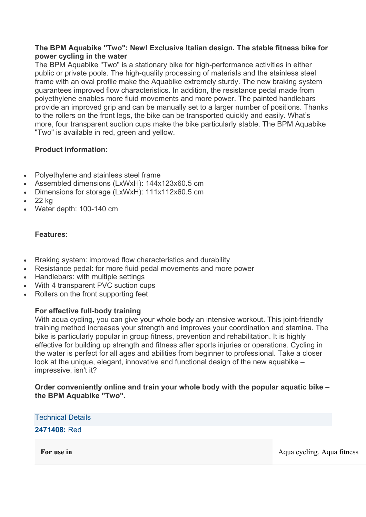## **The BPM Aquabike "Two": New! Exclusive Italian design. The stable fitness bike for power cycling in the water**

The BPM Aquabike "Two" is a stationary bike for high-performance activities in either public or private pools. The high-quality processing of materials and the stainless steel frame with an oval profile make the Aquabike extremely sturdy. The new braking system guarantees improved flow characteristics. In addition, the resistance pedal made from polyethylene enables more fluid movements and more power. The painted handlebars provide an improved grip and can be manually set to a larger number of positions. Thanks to the rollers on the front legs, the bike can be transported quickly and easily. What's more, four transparent suction cups make the bike particularly stable. The BPM Aquabike "Two" is available in red, green and yellow.

## **Product information:**

- Polyethylene and stainless steel frame
- Assembled dimensions (LxWxH): 144x123x60.5 cm
- Dimensions for storage (LxWxH): 111x112x60.5 cm
- 22 kg
- Water depth: 100-140 cm

## **Features:**

- Braking system: improved flow characteristics and durability
- Resistance pedal: for more fluid pedal movements and more power
- Handlebars: with multiple settings
- With 4 transparent PVC suction cups
- Rollers on the front supporting feet

## **For effective full-body training**

With aqua cycling, you can give your whole body an intensive workout. This joint-friendly training method increases your strength and improves your coordination and stamina. The bike is particularly popular in group fitness, prevention and rehabilitation. It is highly effective for building up strength and fitness after sports injuries or operations. Cycling in the water is perfect for all ages and abilities from beginner to professional. Take a closer look at the unique, elegant, innovative and functional design of the new aquabike – impressive, isn't it?

**Order conveniently online and train your whole body with the popular aquatic bike – the BPM Aquabike "Two".**

Technical Details **2471408:** Red

**For use in** Aqua cycling, Aqua fitness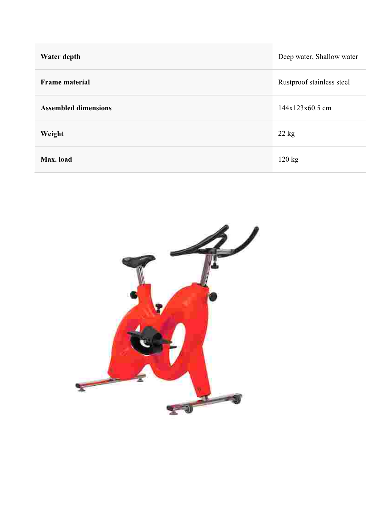| Water depth                 | Deep water, Shallow water |
|-----------------------------|---------------------------|
| <b>Frame material</b>       | Rustproof stainless steel |
| <b>Assembled dimensions</b> | $144x123x60.5$ cm         |
| Weight                      | $22 \text{ kg}$           |
| Max. load                   | $120 \text{ kg}$          |

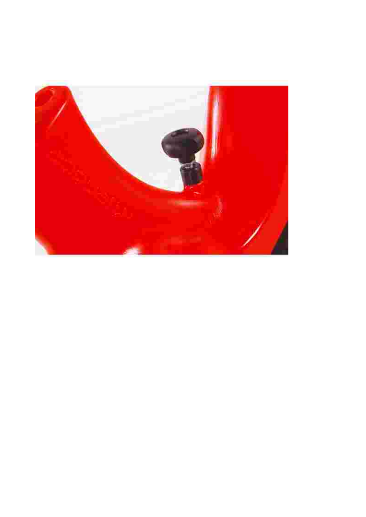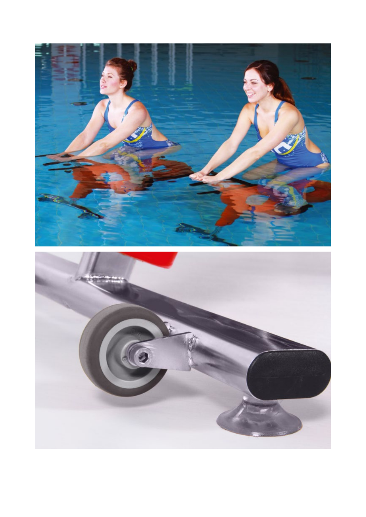